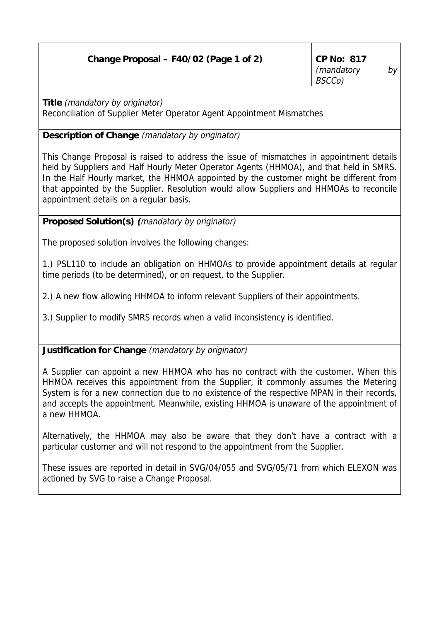| Change Proposal – F40/02 (Page 1 of 2) | $\vert$ CP No: 817 |      |
|----------------------------------------|--------------------|------|
|                                        | (mandatory         | by - |
|                                        | <i>BSCCo</i> )     |      |

**Title** (mandatory by originator) Reconciliation of Supplier Meter Operator Agent Appointment Mismatches

## **Description of Change** (mandatory by originator)

This Change Proposal is raised to address the issue of mismatches in appointment details held by Suppliers and Half Hourly Meter Operator Agents (HHMOA), and that held in SMRS. In the Half Hourly market, the HHMOA appointed by the customer might be different from that appointed by the Supplier. Resolution would allow Suppliers and HHMOAs to reconcile appointment details on a regular basis.

**Proposed Solution(s) (**mandatory by originator)

The proposed solution involves the following changes:

1.) PSL110 to include an obligation on HHMOAs to provide appointment details at regular time periods (to be determined), or on request, to the Supplier.

2.) A new flow allowing HHMOA to inform relevant Suppliers of their appointments.

3.) Supplier to modify SMRS records when a valid inconsistency is identified.

**Justification for Change** (mandatory by originator)

A Supplier can appoint a new HHMOA who has no contract with the customer. When this HHMOA receives this appointment from the Supplier, it commonly assumes the Metering System is for a new connection due to no existence of the respective MPAN in their records, and accepts the appointment. Meanwhile, existing HHMOA is unaware of the appointment of a new HHMOA.

Alternatively, the HHMOA may also be aware that they don't have a contract with a particular customer and will not respond to the appointment from the Supplier.

These issues are reported in detail in SVG/04/055 and SVG/05/71 from which ELEXON was actioned by SVG to raise a Change Proposal.